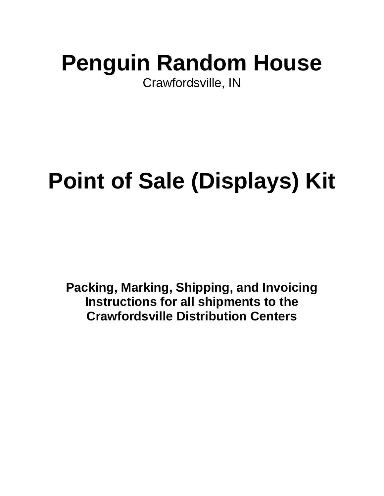# **Penguin Random House**

Crawfordsville, IN

# **Point of Sale (Displays) Kit**

**Packing, Marking, Shipping, and Invoicing Instructions for all shipments to the Crawfordsville Distribution Centers**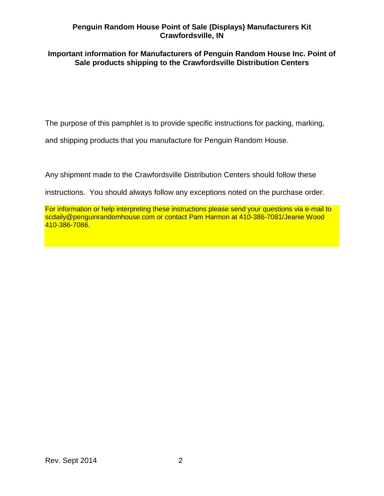#### **Important information for Manufacturers of Penguin Random House Inc. Point of Sale products shipping to the Crawfordsville Distribution Centers**

The purpose of this pamphlet is to provide specific instructions for packing, marking,

and shipping products that you manufacture for Penguin Random House.

Any shipment made to the Crawfordsville Distribution Centers should follow these

instructions. You should always follow any exceptions noted on the purchase order.

For information or help interpreting these instructions please send your questions via e-mail to scdaily@penguinrandomhouse.com or contact Pam Harmon at 410-386-7081/Jeanie Wood 410-386-7086.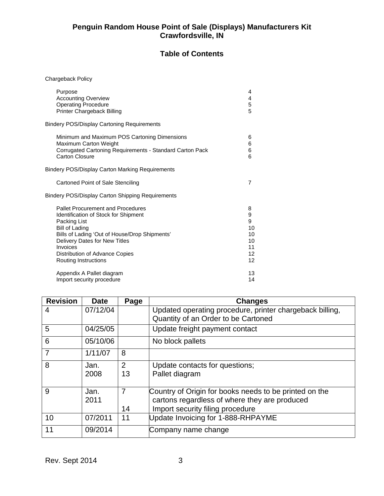## **Table of Contents**

Chargeback Policy

| Purpose                                                  | 4              |
|----------------------------------------------------------|----------------|
| <b>Accounting Overview</b>                               | 4              |
| <b>Operating Procedure</b>                               | 5              |
| Printer Chargeback Billing                               | 5              |
| <b>Bindery POS/Display Cartoning Requirements</b>        |                |
| Minimum and Maximum POS Cartoning Dimensions             | 6              |
| Maximum Carton Weight                                    | 6              |
| Corrugated Cartoning Requirements - Standard Carton Pack | 6              |
| Carton Closure                                           | 6              |
| Bindery POS/Display Carton Marking Requirements          |                |
| Cartoned Point of Sale Stenciling                        | $\overline{7}$ |
| <b>Bindery POS/Display Carton Shipping Requirements</b>  |                |
| <b>Pallet Procurement and Procedures</b>                 | 8              |
| <b>Identification of Stock for Shipment</b>              | 9              |
| Packing List                                             | 9              |
| Bill of Lading                                           | 10             |
| Bills of Lading 'Out of House/Drop Shipments'            | 10             |
| Delivery Dates for New Titles                            | 10             |
| Invoices                                                 | 11             |
| Distribution of Advance Copies                           | 12             |
| Routing Instructions                                     | 12             |
| Appendix A Pallet diagram                                | 13             |
| Import security procedure                                | 14             |

| <b>Revision</b> | <b>Date</b> | Page           | <b>Changes</b>                                           |
|-----------------|-------------|----------------|----------------------------------------------------------|
| 4               | 07/12/04    |                | Updated operating procedure, printer chargeback billing, |
|                 |             |                | Quantity of an Order to be Cartoned                      |
| 5               | 04/25/05    |                | Update freight payment contact                           |
| 6               | 05/10/06    |                | No block pallets                                         |
| $\overline{7}$  | 1/11/07     | 8              |                                                          |
| 8               | Jan.        | $\overline{2}$ | Update contacts for questions;                           |
|                 | 2008        | 13             | Pallet diagram                                           |
|                 |             |                |                                                          |
| 9               | Jan.        | $\overline{7}$ | Country of Origin for books needs to be printed on the   |
|                 | 2011        |                | cartons regardless of where they are produced            |
|                 |             | 14             | Import security filing procedure                         |
| 10              | 07/2011     | 11             | Update Invoicing for 1-888-RHPAYME                       |
| 11              | 09/2014     |                | Company name change                                      |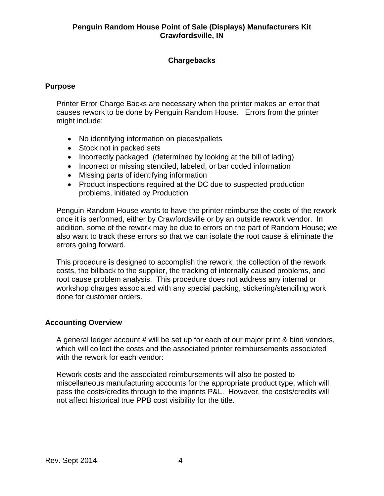## **Chargebacks**

### **Purpose**

Printer Error Charge Backs are necessary when the printer makes an error that causes rework to be done by Penguin Random House. Errors from the printer might include:

- No identifying information on pieces/pallets
- Stock not in packed sets
- Incorrectly packaged (determined by looking at the bill of lading)
- Incorrect or missing stenciled, labeled, or bar coded information
- Missing parts of identifying information
- Product inspections required at the DC due to suspected production problems, initiated by Production

Penguin Random House wants to have the printer reimburse the costs of the rework once it is performed, either by Crawfordsville or by an outside rework vendor. In addition, some of the rework may be due to errors on the part of Random House; we also want to track these errors so that we can isolate the root cause & eliminate the errors going forward.

This procedure is designed to accomplish the rework, the collection of the rework costs, the billback to the supplier, the tracking of internally caused problems, and root cause problem analysis. This procedure does not address any internal or workshop charges associated with any special packing, stickering/stenciling work done for customer orders.

#### **Accounting Overview**

A general ledger account # will be set up for each of our major print & bind vendors, which will collect the costs and the associated printer reimbursements associated with the rework for each vendor:

Rework costs and the associated reimbursements will also be posted to miscellaneous manufacturing accounts for the appropriate product type, which will pass the costs/credits through to the imprints P&L. However, the costs/credits will not affect historical true PPB cost visibility for the title.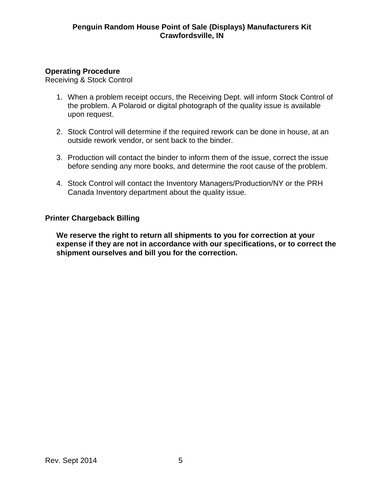## **Operating Procedure**

Receiving & Stock Control

- 1. When a problem receipt occurs, the Receiving Dept. will inform Stock Control of the problem. A Polaroid or digital photograph of the quality issue is available upon request.
- 2. Stock Control will determine if the required rework can be done in house, at an outside rework vendor, or sent back to the binder.
- 3. Production will contact the binder to inform them of the issue, correct the issue before sending any more books, and determine the root cause of the problem.
- 4. Stock Control will contact the Inventory Managers/Production/NY or the PRH Canada Inventory department about the quality issue.

## **Printer Chargeback Billing**

**We reserve the right to return all shipments to you for correction at your expense if they are not in accordance with our specifications, or to correct the shipment ourselves and bill you for the correction.**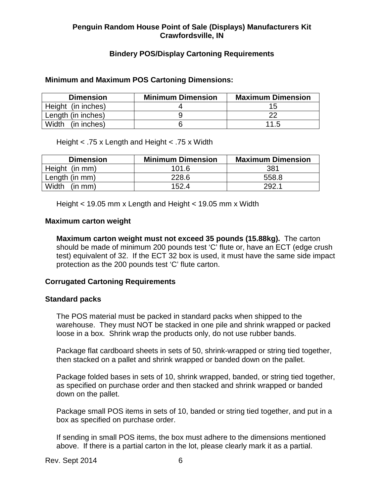## **Bindery POS/Display Cartoning Requirements**

#### **Minimum and Maximum POS Cartoning Dimensions:**

| <b>Dimension</b>   | <b>Minimum Dimension</b> | <b>Maximum Dimension</b> |
|--------------------|--------------------------|--------------------------|
| Height (in inches) |                          |                          |
| Length (in inches) |                          | າດ                       |
| Width (in inches)  |                          | 11.5                     |

Height < .75 x Length and Height < .75 x Width

| <b>Dimension</b> | <b>Minimum Dimension</b> | <b>Maximum Dimension</b> |
|------------------|--------------------------|--------------------------|
| Height (in mm)   | 101.6                    | 381                      |
| Length (in mm)   | 228.6                    | 558.8                    |
| Width<br>(in mm) | 152.4                    | 292.1                    |

Height < 19.05 mm x Length and Height < 19.05 mm x Width

#### **Maximum carton weight**

**Maximum carton weight must not exceed 35 pounds (15.88kg).** The carton should be made of minimum 200 pounds test 'C' flute or, have an ECT (edge crush test) equivalent of 32. If the ECT 32 box is used, it must have the same side impact protection as the 200 pounds test 'C' flute carton.

#### **Corrugated Cartoning Requirements**

#### **Standard packs**

The POS material must be packed in standard packs when shipped to the warehouse. They must NOT be stacked in one pile and shrink wrapped or packed loose in a box. Shrink wrap the products only, do not use rubber bands.

Package flat cardboard sheets in sets of 50, shrink-wrapped or string tied together, then stacked on a pallet and shrink wrapped or banded down on the pallet.

Package folded bases in sets of 10, shrink wrapped, banded, or string tied together, as specified on purchase order and then stacked and shrink wrapped or banded down on the pallet.

Package small POS items in sets of 10, banded or string tied together, and put in a box as specified on purchase order.

If sending in small POS items, the box must adhere to the dimensions mentioned above. If there is a partial carton in the lot, please clearly mark it as a partial.

Rev. Sept 2014 6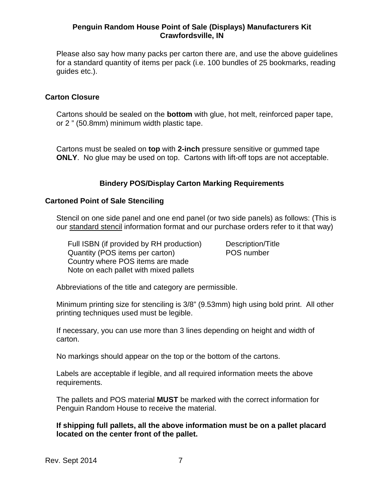Please also say how many packs per carton there are, and use the above guidelines for a standard quantity of items per pack (i.e. 100 bundles of 25 bookmarks, reading guides etc.).

#### **Carton Closure**

Cartons should be sealed on the **bottom** with glue, hot melt, reinforced paper tape, or 2 " (50.8mm) minimum width plastic tape.

Cartons must be sealed on **top** with **2-inch** pressure sensitive or gummed tape **ONLY**. No glue may be used on top. Cartons with lift-off tops are not acceptable.

### **Bindery POS/Display Carton Marking Requirements**

#### **Cartoned Point of Sale Stenciling**

Stencil on one side panel and one end panel (or two side panels) as follows: (This is our standard stencil information format and our purchase orders refer to it that way)

Full ISBN (if provided by RH production) Description/Title<br>Quantity (POS items per carton) POS number Quantity (POS items per carton) Country where POS items are made Note on each pallet with mixed pallets

Abbreviations of the title and category are permissible.

Minimum printing size for stenciling is 3/8" (9.53mm) high using bold print. All other printing techniques used must be legible.

If necessary, you can use more than 3 lines depending on height and width of carton.

No markings should appear on the top or the bottom of the cartons.

Labels are acceptable if legible, and all required information meets the above requirements.

The pallets and POS material **MUST** be marked with the correct information for Penguin Random House to receive the material.

**If shipping full pallets, all the above information must be on a pallet placard located on the center front of the pallet.**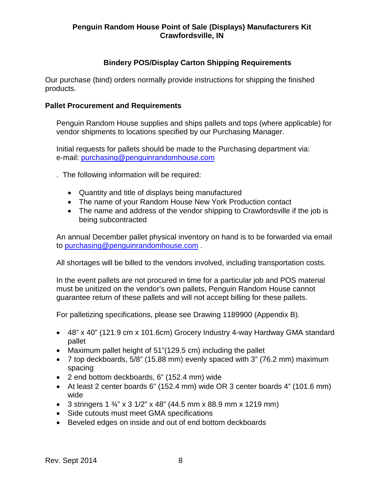## **Bindery POS/Display Carton Shipping Requirements**

Our purchase (bind) orders normally provide instructions for shipping the finished products.

#### **Pallet Procurement and Requirements**

Penguin Random House supplies and ships pallets and tops (where applicable) for vendor shipments to locations specified by our Purchasing Manager.

Initial requests for pallets should be made to the Purchasing department via: e-mail: [purchasing@penguinrandomhouse.com](mailto:purchasing@penguinrandomhouse.com)

. The following information will be required:

- Quantity and title of displays being manufactured
- The name of your Random House New York Production contact
- The name and address of the vendor shipping to Crawfordsville if the job is being subcontracted

An annual December pallet physical inventory on hand is to be forwarded via email to [purchasing@penguinrandomhouse.com](mailto:purchasing@penguinrandomhouse.com) .

All shortages will be billed to the vendors involved, including transportation costs.

In the event pallets are not procured in time for a particular job and POS material must be unitized on the vendor's own pallets, Penguin Random House cannot guarantee return of these pallets and will not accept billing for these pallets.

For palletizing specifications, please see Drawing 1189900 (Appendix B).

- 48" x 40" (121.9 cm x 101.6cm) Grocery Industry 4-way Hardway GMA standard pallet
- Maximum pallet height of 51"(129.5 cm) including the pallet
- 7 top deckboards, 5/8" (15.88 mm) evenly spaced with 3" (76.2 mm) maximum spacing
- 2 end bottom deckboards, 6" (152.4 mm) wide
- At least 2 center boards 6" (152.4 mm) wide OR 3 center boards 4" (101.6 mm) wide
- 3 stringers  $1\frac{3}{4}$ " x 3 1/2" x 48" (44.5 mm x 88.9 mm x 1219 mm)
- Side cutouts must meet GMA specifications
- Beveled edges on inside and out of end bottom deckboards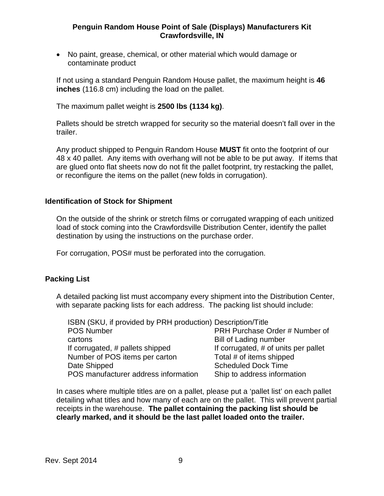• No paint, grease, chemical, or other material which would damage or contaminate product

If not using a standard Penguin Random House pallet, the maximum height is **46 inches** (116.8 cm) including the load on the pallet.

The maximum pallet weight is **2500 lbs (1134 kg)**.

Pallets should be stretch wrapped for security so the material doesn't fall over in the trailer.

Any product shipped to Penguin Random House **MUST** fit onto the footprint of our 48 x 40 pallet. Any items with overhang will not be able to be put away. If items that are glued onto flat sheets now do not fit the pallet footprint, try restacking the pallet, or reconfigure the items on the pallet (new folds in corrugation).

#### **Identification of Stock for Shipment**

On the outside of the shrink or stretch films or corrugated wrapping of each unitized load of stock coming into the Crawfordsville Distribution Center, identify the pallet destination by using the instructions on the purchase order.

For corrugation, POS# must be perforated into the corrugation.

#### **Packing List**

A detailed packing list must accompany every shipment into the Distribution Center, with separate packing lists for each address. The packing list should include:

| ISBN (SKU, if provided by PRH production) Description/Title |                                      |
|-------------------------------------------------------------|--------------------------------------|
| <b>POS Number</b>                                           | PRH Purchase Order # Number of       |
| cartons                                                     | <b>Bill of Lading number</b>         |
| If corrugated, # pallets shipped                            | If corrugated, # of units per pallet |
| Number of POS items per carton                              | Total # of items shipped             |
| Date Shipped                                                | <b>Scheduled Dock Time</b>           |
| POS manufacturer address information                        | Ship to address information          |

In cases where multiple titles are on a pallet, please put a 'pallet list' on each pallet detailing what titles and how many of each are on the pallet. This will prevent partial receipts in the warehouse. **The pallet containing the packing list should be clearly marked, and it should be the last pallet loaded onto the trailer.**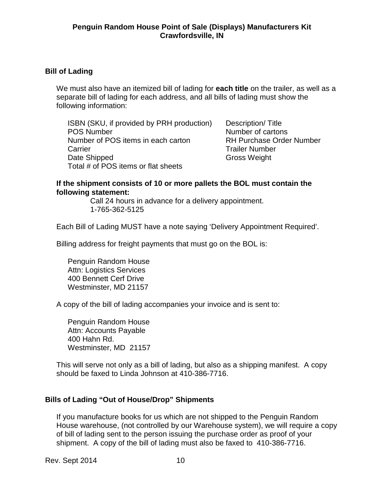### **Bill of Lading**

We must also have an itemized bill of lading for **each title** on the trailer, as well as a separate bill of lading for each address, and all bills of lading must show the following information:

ISBN (SKU, if provided by PRH production) Description/Title POS Number Number of cartons Number of POS items in each carton RH Purchase Order Number Carrier **Carrier Carrier Carrier Number Trailer Number** Date Shipped Gross Weight Total # of POS items or flat sheets

#### **If the shipment consists of 10 or more pallets the BOL must contain the following statement:**

Call 24 hours in advance for a delivery appointment. 1-765-362-5125

Each Bill of Lading MUST have a note saying 'Delivery Appointment Required'.

Billing address for freight payments that must go on the BOL is:

Penguin Random House Attn: Logistics Services 400 Bennett Cerf Drive Westminster, MD 21157

A copy of the bill of lading accompanies your invoice and is sent to:

Penguin Random House Attn: Accounts Payable 400 Hahn Rd. Westminster, MD 21157

This will serve not only as a bill of lading, but also as a shipping manifest. A copy should be faxed to Linda Johnson at 410-386-7716.

## **Bills of Lading "Out of House/Drop" Shipments**

If you manufacture books for us which are not shipped to the Penguin Random House warehouse, (not controlled by our Warehouse system), we will require a copy of bill of lading sent to the person issuing the purchase order as proof of your shipment. A copy of the bill of lading must also be faxed to 410-386-7716.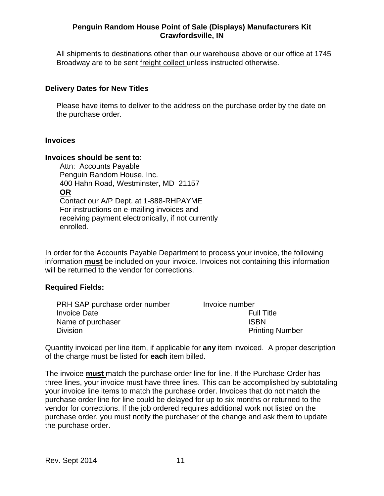All shipments to destinations other than our warehouse above or our office at 1745 Broadway are to be sent freight collect unless instructed otherwise.

#### **Delivery Dates for New Titles**

Please have items to deliver to the address on the purchase order by the date on the purchase order.

#### **Invoices**

#### **Invoices should be sent to**:

 Attn: Accounts Payable Penguin Random House, Inc. 400 Hahn Road, Westminster, MD 21157 **OR** Contact our A/P Dept. at 1-888-RHPAYME For instructions on e-mailing invoices and receiving payment electronically, if not currently enrolled.

In order for the Accounts Payable Department to process your invoice, the following information **must** be included on your invoice. Invoices not containing this information will be returned to the vendor for corrections.

#### **Required Fields:**

| PRH SAP purchase order number | Invoice number         |
|-------------------------------|------------------------|
| Invoice Date                  | <b>Full Title</b>      |
| Name of purchaser             | <b>ISBN</b>            |
| Division                      | <b>Printing Number</b> |

Quantity invoiced per line item, if applicable for **any** item invoiced. A proper description of the charge must be listed for **each** item billed.

The invoice **must** match the purchase order line for line. If the Purchase Order has three lines, your invoice must have three lines. This can be accomplished by subtotaling your invoice line items to match the purchase order. Invoices that do not match the purchase order line for line could be delayed for up to six months or returned to the vendor for corrections. If the job ordered requires additional work not listed on the purchase order, you must notify the purchaser of the change and ask them to update the purchase order.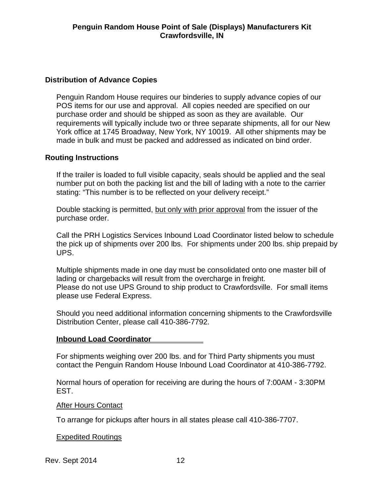## **Distribution of Advance Copies**

Penguin Random House requires our binderies to supply advance copies of our POS items for our use and approval. All copies needed are specified on our purchase order and should be shipped as soon as they are available. Our requirements will typically include two or three separate shipments, all for our New York office at 1745 Broadway, New York, NY 10019. All other shipments may be made in bulk and must be packed and addressed as indicated on bind order.

## **Routing Instructions**

If the trailer is loaded to full visible capacity, seals should be applied and the seal number put on both the packing list and the bill of lading with a note to the carrier stating: "This number is to be reflected on your delivery receipt."

Double stacking is permitted, but only with prior approval from the issuer of the purchase order.

Call the PRH Logistics Services Inbound Load Coordinator listed below to schedule the pick up of shipments over 200 lbs. For shipments under 200 lbs. ship prepaid by UPS.

Multiple shipments made in one day must be consolidated onto one master bill of lading or chargebacks will result from the overcharge in freight. Please do not use UPS Ground to ship product to Crawfordsville. For small items please use Federal Express.

Should you need additional information concerning shipments to the Crawfordsville Distribution Center, please call 410-386-7792.

## **Inbound Load Coordinator**

For shipments weighing over 200 lbs. and for Third Party shipments you must contact the Penguin Random House Inbound Load Coordinator at 410-386-7792.

Normal hours of operation for receiving are during the hours of 7:00AM - 3:30PM EST.

#### After Hours Contact

To arrange for pickups after hours in all states please call 410-386-7707.

#### Expedited Routings

Rev. Sept 2014 12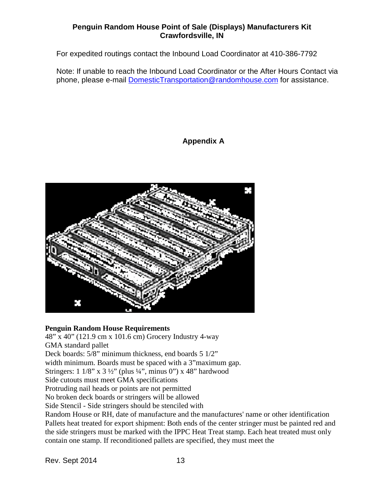For expedited routings contact the Inbound Load Coordinator at 410-386-7792

Note: If unable to reach the Inbound Load Coordinator or the After Hours Contact via phone, please e-mail [DomesticTransportation@randomhouse.com](mailto:DomesticTransportation@randomhouse.com) for assistance.

## **Appendix A**



#### **Penguin Random House Requirements**

48" x 40" (121.9 cm x 101.6 cm) Grocery Industry 4-way GMA standard pallet

Deck boards: 5/8" minimum thickness, end boards 5 1/2"

width minimum. Boards must be spaced with a 3"maximum gap.

Stringers:  $1 \frac{1}{8}$ " x  $3 \frac{1}{2}$ " (plus  $\frac{1}{4}$ ", minus 0") x 48" hardwood

Side cutouts must meet GMA specifications

Protruding nail heads or points are not permitted

No broken deck boards or stringers will be allowed

Side Stencil - Side stringers should be stenciled with

Random House or RH, date of manufacture and the manufactures' name or other identification Pallets heat treated for export shipment: Both ends of the center stringer must be painted red and the side stringers must be marked with the IPPC Heat Treat stamp. Each heat treated must only contain one stamp. If reconditioned pallets are specified, they must meet the

Rev. Sept 2014 13